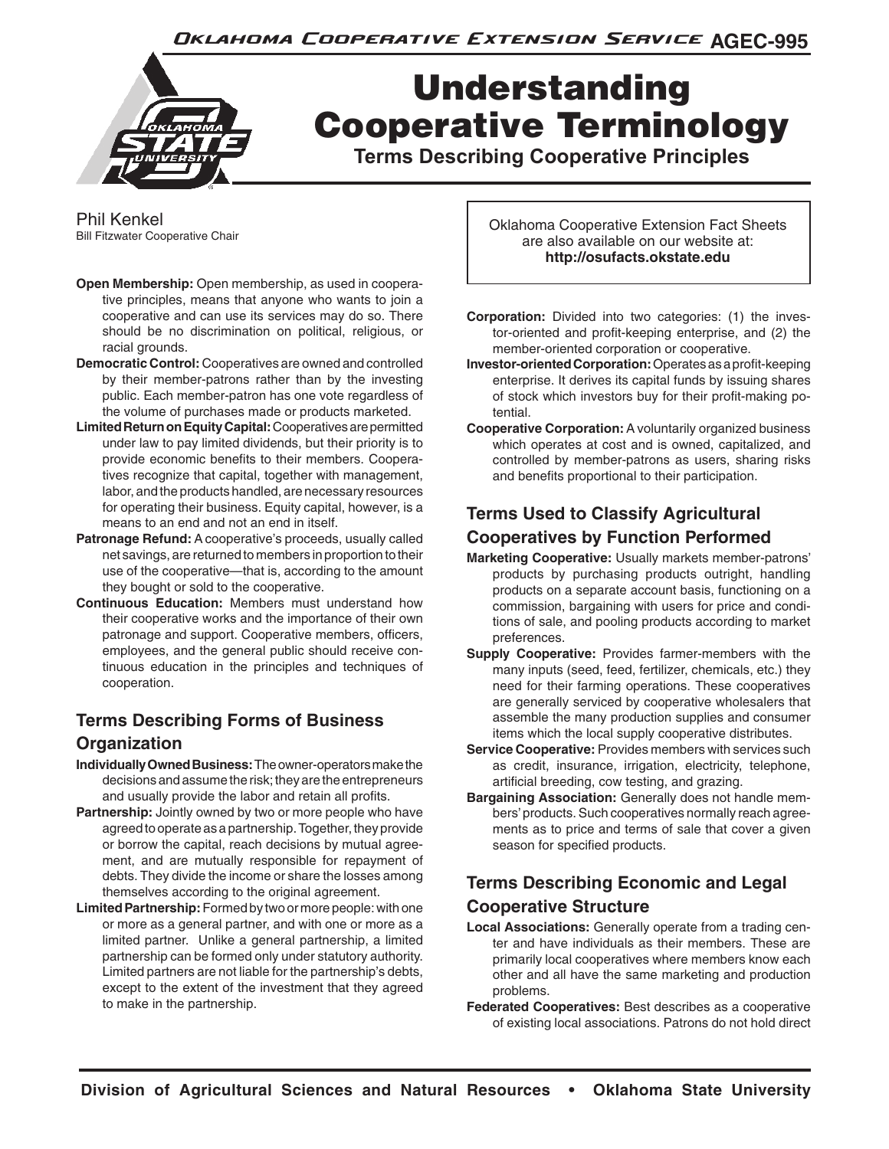Oklahoma Cooperative Extension Service AGEC-995



# Understanding Cooperative Terminology

**Terms Describing Cooperative Principles**

Phil Kenkel Bill Fitzwater Cooperative Chair

- **Open Membership:** Open membership, as used in cooperative principles, means that anyone who wants to join a cooperative and can use its services may do so. There should be no discrimination on political, religious, or racial grounds.
- **Democratic Control:** Cooperatives are owned and controlled by their member-patrons rather than by the investing public. Each member-patron has one vote regardless of the volume of purchases made or products marketed.
- **Limited Return on Equity Capital:** Cooperatives are permitted under law to pay limited dividends, but their priority is to provide economic benefits to their members. Cooperatives recognize that capital, together with management, labor, and the products handled, are necessary resources for operating their business. Equity capital, however, is a means to an end and not an end in itself.
- **Patronage Refund:** A cooperative's proceeds, usually called net savings, are returned to members in proportion to their use of the cooperative—that is, according to the amount they bought or sold to the cooperative.
- **Continuous Education:** Members must understand how their cooperative works and the importance of their own patronage and support. Cooperative members, officers, employees, and the general public should receive continuous education in the principles and techniques of cooperation.

## **Terms Describing Forms of Business**

#### **Organization**

- **Individually Owned Business:** The owner-operators make the decisions and assume the risk; they are the entrepreneurs and usually provide the labor and retain all profits.
- **Partnership:** Jointly owned by two or more people who have agreed to operate as a partnership. Together, they provide or borrow the capital, reach decisions by mutual agreement, and are mutually responsible for repayment of debts. They divide the income or share the losses among themselves according to the original agreement.
- **Limited Partnership:** Formed by two or more people: with one or more as a general partner, and with one or more as a limited partner. Unlike a general partnership, a limited partnership can be formed only under statutory authority. Limited partners are not liable for the partnership's debts, except to the extent of the investment that they agreed to make in the partnership.

Oklahoma Cooperative Extension Fact Sheets are also available on our website at: **http://osufacts.okstate.edu**

- **Corporation:** Divided into two categories: (1) the investor-oriented and profit-keeping enterprise, and (2) the member-oriented corporation or cooperative.
- **Investor-oriented Corporation:** Operates as a profit-keeping enterprise. It derives its capital funds by issuing shares of stock which investors buy for their profit-making potential.
- **Cooperative Corporation:** A voluntarily organized business which operates at cost and is owned, capitalized, and controlled by member-patrons as users, sharing risks and benefits proportional to their participation.

#### **Terms Used to Classify Agricultural Cooperatives by Function Performed**

- **Marketing Cooperative:** Usually markets member-patrons' products by purchasing products outright, handling products on a separate account basis, functioning on a commission, bargaining with users for price and conditions of sale, and pooling products according to market preferences.
- **Supply Cooperative:** Provides farmer-members with the many inputs (seed, feed, fertilizer, chemicals, etc.) they need for their farming operations. These cooperatives are generally serviced by cooperative wholesalers that assemble the many production supplies and consumer items which the local supply cooperative distributes.
- **Service Cooperative:** Provides members with services such as credit, insurance, irrigation, electricity, telephone, artificial breeding, cow testing, and grazing.
- **Bargaining Association:** Generally does not handle members' products. Such cooperatives normally reach agreements as to price and terms of sale that cover a given season for specified products.

#### **Terms Describing Economic and Legal Cooperative Structure**

- **Local Associations:** Generally operate from a trading center and have individuals as their members. These are primarily local cooperatives where members know each other and all have the same marketing and production problems.
- **Federated Cooperatives:** Best describes as a cooperative of existing local associations. Patrons do not hold direct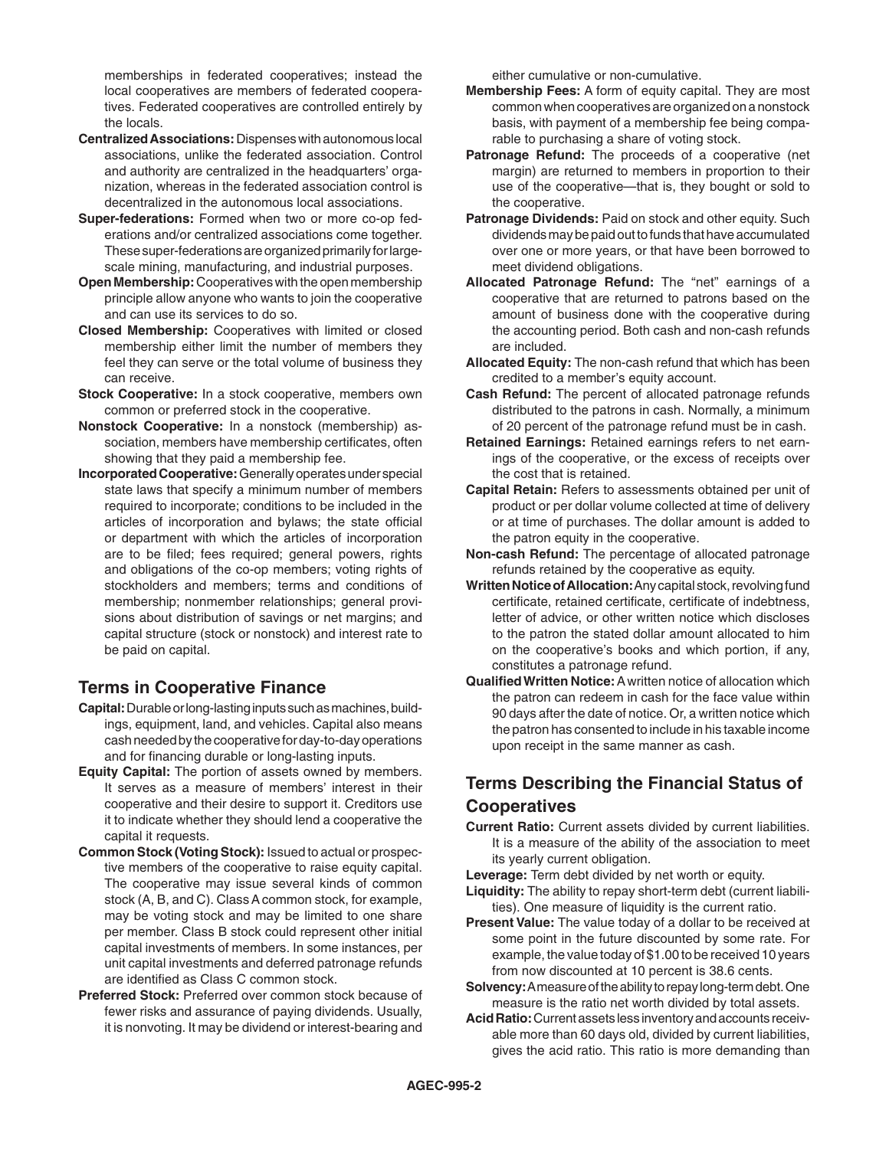memberships in federated cooperatives; instead the local cooperatives are members of federated cooperatives. Federated cooperatives are controlled entirely by the locals.

- **Centralized Associations:** Dispenses with autonomous local associations, unlike the federated association. Control and authority are centralized in the headquarters' organization, whereas in the federated association control is decentralized in the autonomous local associations.
- **Super-federations:** Formed when two or more co-op federations and/or centralized associations come together. These super-federations are organized primarily for largescale mining, manufacturing, and industrial purposes.
- **Open Membership:** Cooperatives with the open membership principle allow anyone who wants to join the cooperative and can use its services to do so.
- **Closed Membership:** Cooperatives with limited or closed membership either limit the number of members they feel they can serve or the total volume of business they can receive.
- **Stock Cooperative:** In a stock cooperative, members own common or preferred stock in the cooperative.
- **Nonstock Cooperative:** In a nonstock (membership) association, members have membership certificates, often showing that they paid a membership fee.
- **Incorporated Cooperative:** Generally operates under special state laws that specify a minimum number of members required to incorporate; conditions to be included in the articles of incorporation and bylaws; the state official or department with which the articles of incorporation are to be filed; fees required; general powers, rights and obligations of the co-op members; voting rights of stockholders and members; terms and conditions of membership; nonmember relationships; general provisions about distribution of savings or net margins; and capital structure (stock or nonstock) and interest rate to be paid on capital.

#### **Terms in Cooperative Finance**

- **Capital:** Durable or long-lasting inputs such as machines, buildings, equipment, land, and vehicles. Capital also means cash needed by the cooperative for day-to-day operations and for financing durable or long-lasting inputs.
- **Equity Capital:** The portion of assets owned by members. It serves as a measure of members' interest in their cooperative and their desire to support it. Creditors use it to indicate whether they should lend a cooperative the capital it requests.
- **Common Stock (Voting Stock):** Issued to actual or prospective members of the cooperative to raise equity capital. The cooperative may issue several kinds of common stock (A, B, and C). Class A common stock, for example, may be voting stock and may be limited to one share per member. Class B stock could represent other initial capital investments of members. In some instances, per unit capital investments and deferred patronage refunds are identified as Class C common stock.
- **Preferred Stock:** Preferred over common stock because of fewer risks and assurance of paying dividends. Usually, it is nonvoting. It may be dividend or interest-bearing and

either cumulative or non-cumulative.

- **Membership Fees:** A form of equity capital. They are most common when cooperatives are organized on a nonstock basis, with payment of a membership fee being comparable to purchasing a share of voting stock.
- **Patronage Refund:** The proceeds of a cooperative (net margin) are returned to members in proportion to their use of the cooperative—that is, they bought or sold to the cooperative.
- **Patronage Dividends: Paid on stock and other equity. Such** dividends may be paid out to funds that have accumulated over one or more years, or that have been borrowed to meet dividend obligations.
- **Allocated Patronage Refund:** The "net" earnings of a cooperative that are returned to patrons based on the amount of business done with the cooperative during the accounting period. Both cash and non-cash refunds are included.
- **Allocated Equity:** The non-cash refund that which has been credited to a member's equity account.
- **Cash Refund:** The percent of allocated patronage refunds distributed to the patrons in cash. Normally, a minimum of 20 percent of the patronage refund must be in cash.
- **Retained Earnings:** Retained earnings refers to net earnings of the cooperative, or the excess of receipts over the cost that is retained.
- **Capital Retain:** Refers to assessments obtained per unit of product or per dollar volume collected at time of delivery or at time of purchases. The dollar amount is added to the patron equity in the cooperative.
- **Non-cash Refund:** The percentage of allocated patronage refunds retained by the cooperative as equity.
- **Written Notice of Allocation:** Any capital stock, revolving fund certificate, retained certificate, certificate of indebtness, letter of advice, or other written notice which discloses to the patron the stated dollar amount allocated to him on the cooperative's books and which portion, if any, constitutes a patronage refund.
- **Qualified Written Notice:** A written notice of allocation which the patron can redeem in cash for the face value within 90 days after the date of notice. Or, a written notice which the patron has consented to include in his taxable income upon receipt in the same manner as cash.

#### **Terms Describing the Financial Status of Cooperatives**

**Current Ratio:** Current assets divided by current liabilities. It is a measure of the ability of the association to meet its yearly current obligation.

**Leverage:** Term debt divided by net worth or equity.

- **Liquidity:** The ability to repay short-term debt (current liabilities). One measure of liquidity is the current ratio.
- **Present Value:** The value today of a dollar to be received at some point in the future discounted by some rate. For example, the value today of \$1.00 to be received 10 years from now discounted at 10 percent is 38.6 cents.
- **Solvency:** A measure of the ability to repay long-term debt. One measure is the ratio net worth divided by total assets.
- **Acid Ratio:** Current assets less inventory and accounts receivable more than 60 days old, divided by current liabilities, gives the acid ratio. This ratio is more demanding than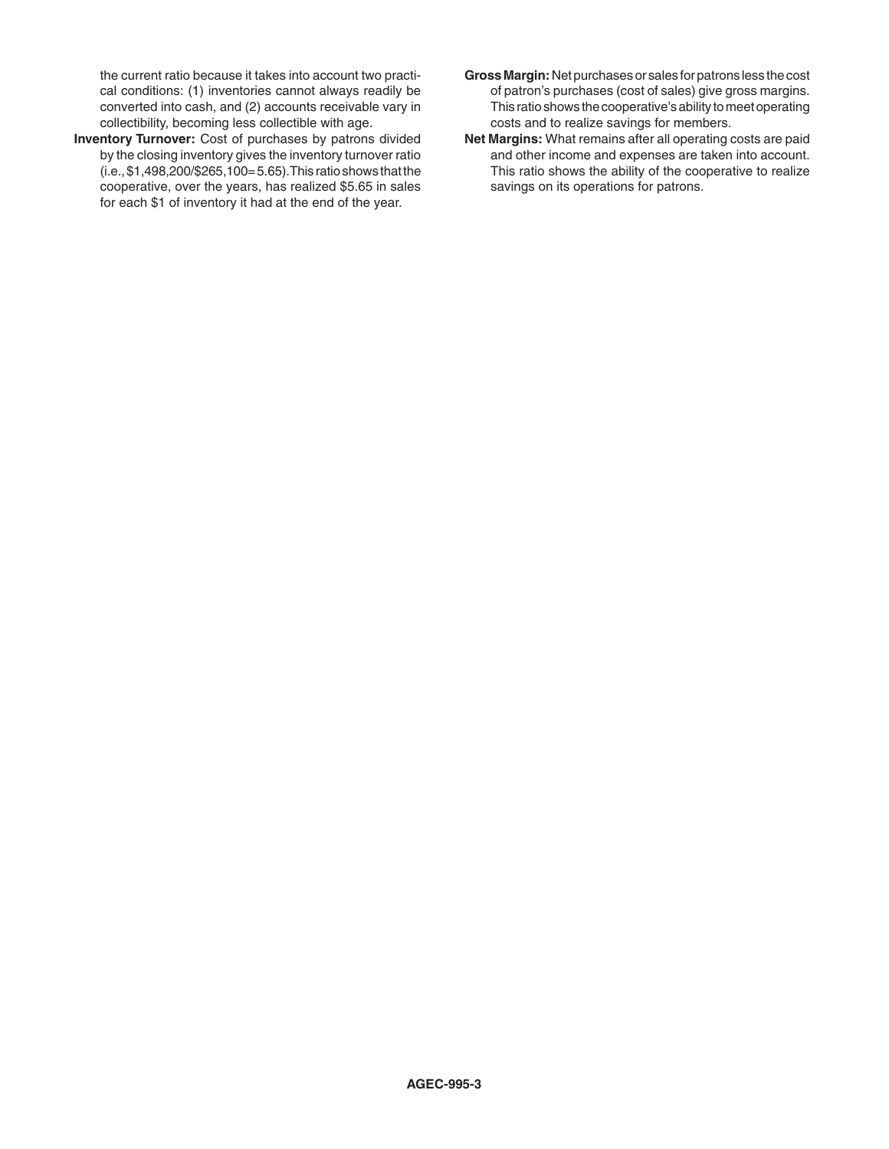the current ratio because it takes into account two practical conditions: (1) inventories cannot always readily be converted into cash, and (2) accounts receivable vary in collectibility, becoming less collectible with age.

- **Inventory Turnover:** Cost of purchases by patrons divided by the closing inventory gives the inventory turnover ratio (i.e., \$1,498,200/\$265,100= 5.65).This ratio shows that the cooperative, over the years, has realized \$5.65 in sales for each \$1 of inventory it had at the end of the year.
- **Gross Margin:** Net purchases or sales for patrons less the cost of patron's purchases (cost of sales) give gross margins. This ratio shows the cooperative's ability to meet operating costs and to realize savings for members.
- **Net Margins:** What remains after all operating costs are paid and other income and expenses are taken into account. This ratio shows the ability of the cooperative to realize savings on its operations for patrons.